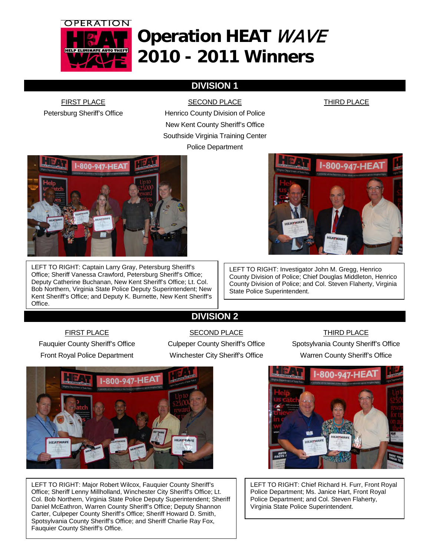

# **Operation HEAT** WAVE **2010 - 2011 Winners**

## **DIVISION 1**

FIRST PLACE Petersburg Sheriff's Office

SECOND PLACE Henrico County Division of Police New Kent County Sheriff's Office Southside Virginia Training Center Police Department

THIRD PLACE



LEFT TO RIGHT: Captain Larry Gray, Petersburg Sheriff's Office; Sheriff Vanessa Crawford, Petersburg Sheriff's Office; Deputy Catherine Buchanan, New Kent Sheriff's Office; Lt. Col. Bob Northern, Virginia State Police Deputy Superintendent; New Kent Sheriff's Office; and Deputy K. Burnette, New Kent Sheriff's Office.

1-800-947-HEA

LEFT TO RIGHT: Investigator John M. Gregg, Henrico County Division of Police; Chief Douglas Middleton, Henrico County Division of Police; and Col. Steven Flaherty, Virginia State Police Superintendent.

## **DIVISION 2**

### FIRST PLACE

Fauquier County Sheriff's Office Front Royal Police Department

### SECOND PLACE

### THIRD PLACE

Culpeper County Sheriff's Office Winchester City Sheriff's Office

Spotsylvania County Sheriff's Office Warren County Sheriff's Office



LEFT TO RIGHT: Major Robert Wilcox, Fauquier County Sheriff's Office; Sheriff Lenny Millholland, Winchester City Sheriff's Office; Lt. Col. Bob Northern, Virginia State Police Deputy Superintendent; Sheriff Daniel McEathron, Warren County Sheriff's Office; Deputy Shannon Carter, Culpeper County Sheriff's Office; Sheriff Howard D. Smith, Spotsylvania County Sheriff's Office; and Sheriff Charlie Ray Fox, Fauquier County Sheriff's Office.



LEFT TO RIGHT: Chief Richard H. Furr, Front Royal Police Department; Ms. Janice Hart, Front Royal Police Department; and Col. Steven Flaherty, Virginia State Police Superintendent.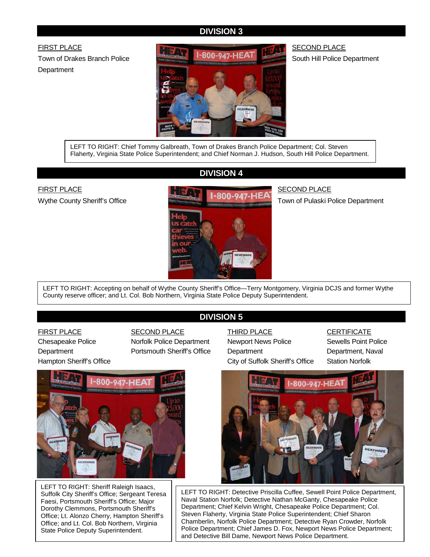### **DIVISION 3**

FIRST PLACE Town of Drakes Branch Police **Department** 



SECOND PLACE South Hill Police Department

LEFT TO RIGHT: Chief Tommy Galbreath, Town of Drakes Branch Police Department; Col. Steven Flaherty, Virginia State Police Superintendent; and Chief Norman J. Hudson, South Hill Police Department.

### **DIVISION 4**

FIRST PLACE Wythe County Sheriff's Office



### SECOND PLACE

Town of Pulaski Police Department

LEFT TO RIGHT: Accepting on behalf of Wythe County Sheriff's Office—Terry Montgomery, Virginia DCJS and former Wythe County reserve officer; and Lt. Col. Bob Northern, Virginia State Police Deputy Superintendent.

### **DIVISION 5**

FIRST PLACE Chesapeake Police **Department** Hampton Sheriff's Office SECOND PLACE Norfolk Police Department Portsmouth Sheriff's Office



LEFT TO RIGHT: Sheriff Raleigh Isaacs, Suffolk City Sheriff's Office; Sergeant Teresa Faesi, Portsmouth Sheriff's Office; Major Dorothy Clemmons, Portsmouth Sheriff's Office; Lt. Alonzo Cherry, Hampton Sheriff's Office; and Lt. Col. Bob Northern, Virginia State Police Deputy Superintendent.

THIRD PLACE Newport News Police **Department** City of Suffolk Sheriff's Office **CERTIFICATE** 

Sewells Point Police Department, Naval Station Norfolk



LEFT TO RIGHT: Detective Priscilla Cuffee, Sewell Point Police Department, Naval Station Norfolk; Detective Nathan McGanty, Chesapeake Police Department; Chief Kelvin Wright, Chesapeake Police Department; Col. Steven Flaherty, Virginia State Police Superintendent; Chief Sharon Chamberlin, Norfolk Police Department; Detective Ryan Crowder, Norfolk Police Department; Chief James D. Fox, Newport News Police Department; and Detective Bill Dame, Newport News Police Department.